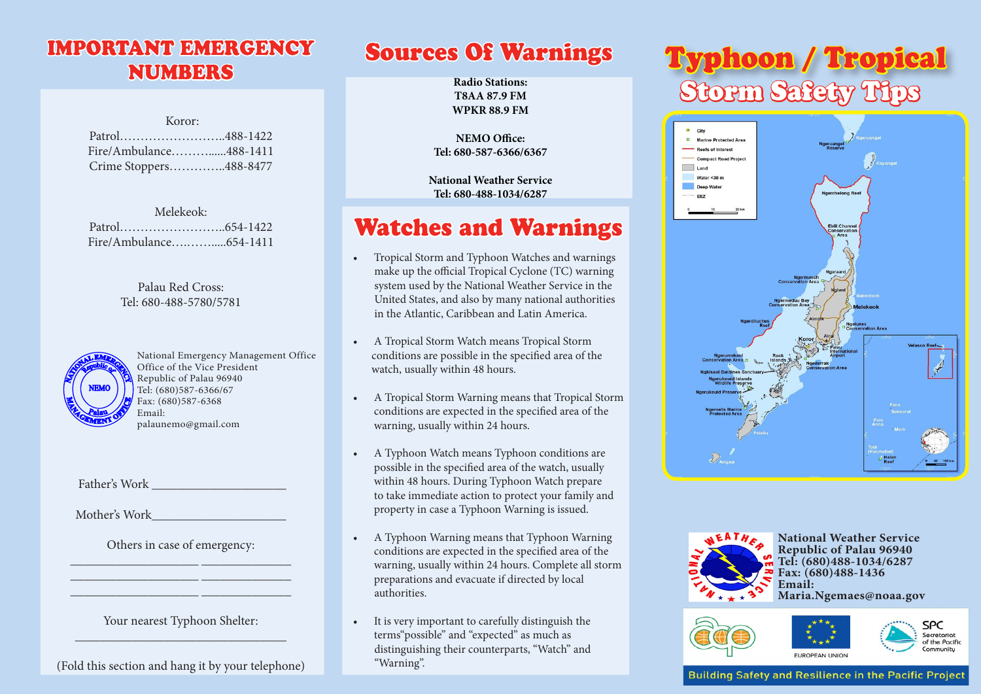# **NUMBERS**

| Koror:                 |  |
|------------------------|--|
|                        |  |
| Fire/Ambulance488-1411 |  |
| Crime Stoppers488-8477 |  |

| Melekeok: |                        |
|-----------|------------------------|
|           |                        |
|           | Fire/Ambulance654-1411 |

#### Palau Red Cross: Tel: 680-488-5780/5781



National Emergency Management Office Office of the Vice President Republic of Palau 96940 Tel: (680)587-6366/67 Fax: (680)587-6368 Email: palaunemo@gmail.com

Father's Work **Example 2018** 

Mother's Work

Others in case of emergency: \_\_\_\_\_\_\_\_\_\_\_\_\_\_\_\_\_\_\_\_ \_\_\_\_\_\_\_\_\_\_\_\_\_\_

\_\_\_\_\_\_\_\_\_\_\_\_\_\_\_\_\_\_\_\_ \_\_\_\_\_\_\_\_\_\_\_\_\_\_ \_\_\_\_\_\_\_\_\_\_\_\_\_\_\_\_\_\_\_\_ \_\_\_\_\_\_\_\_\_\_\_\_\_\_

Your nearest Typhoon Shelter: \_\_\_\_\_\_\_\_\_\_\_\_\_\_\_\_\_\_\_\_\_\_\_\_\_\_\_\_\_\_\_\_\_

(Fold this section and hang it by your telephone)

**Radio Stations: T8AA 87.9 FM WPKR 88.9 FM**

**NEMO Office: Tel: 680-587-6366/6367**

**National Weather Service Tel: 680-488-1034/6287**

# Watches and Warnings

- • Tropical Storm and Typhoon Watches and warnings make up the official Tropical Cyclone (TC) warning system used by the National Weather Service in the United States, and also by many national authorities in the Atlantic, Caribbean and Latin America.
- A Tropical Storm Watch means Tropical Storm conditions are possible in the specified area of the watch, usually within 48 hours.
- A Tropical Storm Warning means that Tropical Storm conditions are expected in the specified area of the warning, usually within 24 hours.
- A Typhoon Watch means Typhoon conditions are possible in the specified area of the watch, usually within 48 hours. During Typhoon Watch prepare to take immediate action to protect your family and property in case a Typhoon Warning is issued.
- A Typhoon Warning means that Typhoon Warning conditions are expected in the specified area of the warning, usually within 24 hours. Complete all storm preparations and evacuate if directed by local authorities.
- It is very important to carefully distinguish the terms"possible" and "expected" as much as distinguishing their counterparts, "Watch" and "Warning".

# IMPORTANT EMERGENCY Sources Of Warnings Typhoon / Tropical Storm Safety Tips





**National Weather Service Republic of Palau 96940 Tel: (680)488-1034/6287 Fax: (680)488-1436 Email:**

**Maria.Ngemaes@noaa.gov**





**Building Safety and Resilience in the Pacific Project**